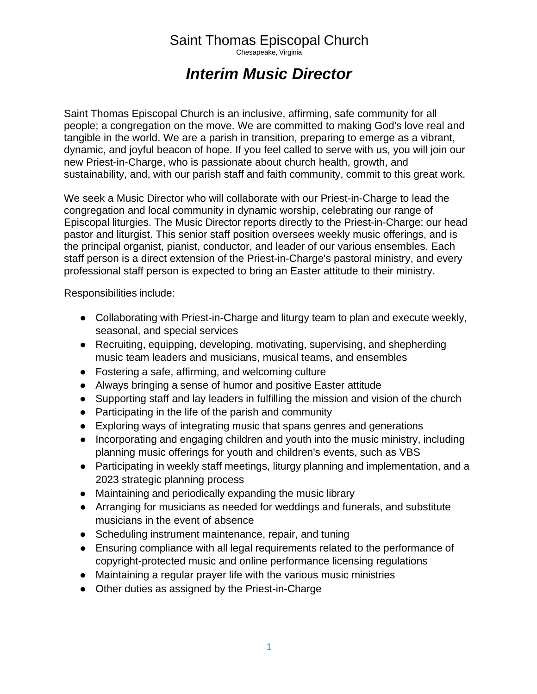## Saint Thomas Episcopal Church

Chesapeake, Virginia

## *Interim Music Director*

Saint Thomas Episcopal Church is an inclusive, affirming, safe community for all people; a congregation on the move. We are committed to making God's love real and tangible in the world. We are a parish in transition, preparing to emerge as a vibrant, dynamic, and joyful beacon of hope. If you feel called to serve with us, you will join our new Priest-in-Charge, who is passionate about church health, growth, and sustainability, and, with our parish staff and faith community, commit to this great work.

We seek a Music Director who will collaborate with our Priest-in-Charge to lead the congregation and local community in dynamic worship, celebrating our range of Episcopal liturgies. The Music Director reports directly to the Priest-in-Charge: our head pastor and liturgist. This senior staff position oversees weekly music offerings, and is the principal organist, pianist, conductor, and leader of our various ensembles. Each staff person is a direct extension of the Priest-in-Charge's pastoral ministry, and every professional staff person is expected to bring an Easter attitude to their ministry.

Responsibilities include:

- Collaborating with Priest-in-Charge and liturgy team to plan and execute weekly, seasonal, and special services
- Recruiting, equipping, developing, motivating, supervising, and shepherding music team leaders and musicians, musical teams, and ensembles
- Fostering a safe, affirming, and welcoming culture
- Always bringing a sense of humor and positive Easter attitude
- Supporting staff and lay leaders in fulfilling the mission and vision of the church
- Participating in the life of the parish and community
- Exploring ways of integrating music that spans genres and generations
- Incorporating and engaging children and youth into the music ministry, including planning music offerings for youth and children's events, such as VBS
- Participating in weekly staff meetings, liturgy planning and implementation, and a 2023 strategic planning process
- Maintaining and periodically expanding the music library
- Arranging for musicians as needed for weddings and funerals, and substitute musicians in the event of absence
- Scheduling instrument maintenance, repair, and tuning
- Ensuring compliance with all legal requirements related to the performance of copyright-protected music and online performance licensing regulations
- Maintaining a regular prayer life with the various music ministries
- Other duties as assigned by the Priest-in-Charge